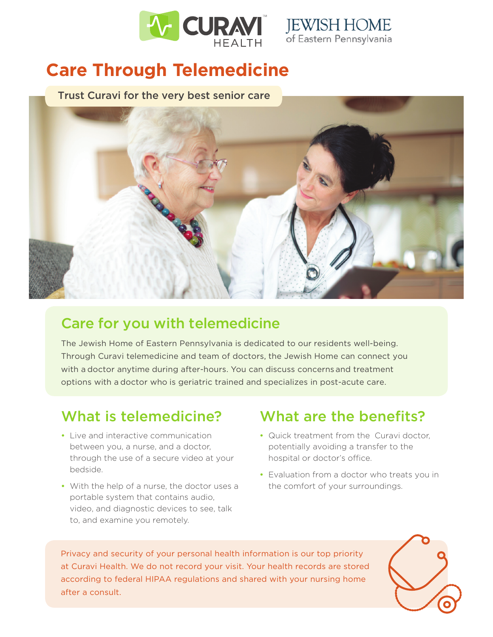



## **Care Through Telemedicine**

Trust Curavi for the very best senior care



## Care for you with telemedicine

The Jewish Home of Eastern Pennsylvania is dedicated to our residents well-being. Through Curavi telemedicine and team of doctors, the Jewish Home can connect you with a doctor anytime during after-hours. You can discuss concerns and treatment options with a doctor who is geriatric trained and specializes in post-acute care.

- Live and interactive communication between you, a nurse, and a doctor, through the use of a secure video at your bedside.
- With the help of a nurse, the doctor uses a portable system that contains audio, video, and diagnostic devices to see, talk to, and examine you remotely.

## What is telemedicine? What are the benefits?

- Quick treatment from the Curavi doctor, potentially avoiding a transfer to the hospital or doctor's office.
- Evaluation from a doctor who treats you in the comfort of your surroundings.

Privacy and security of your personal health information is our top priority at Curavi Health. We do not record your visit. Your health records are stored according to federal HIPAA regulations and shared with your nursing home after a consult.